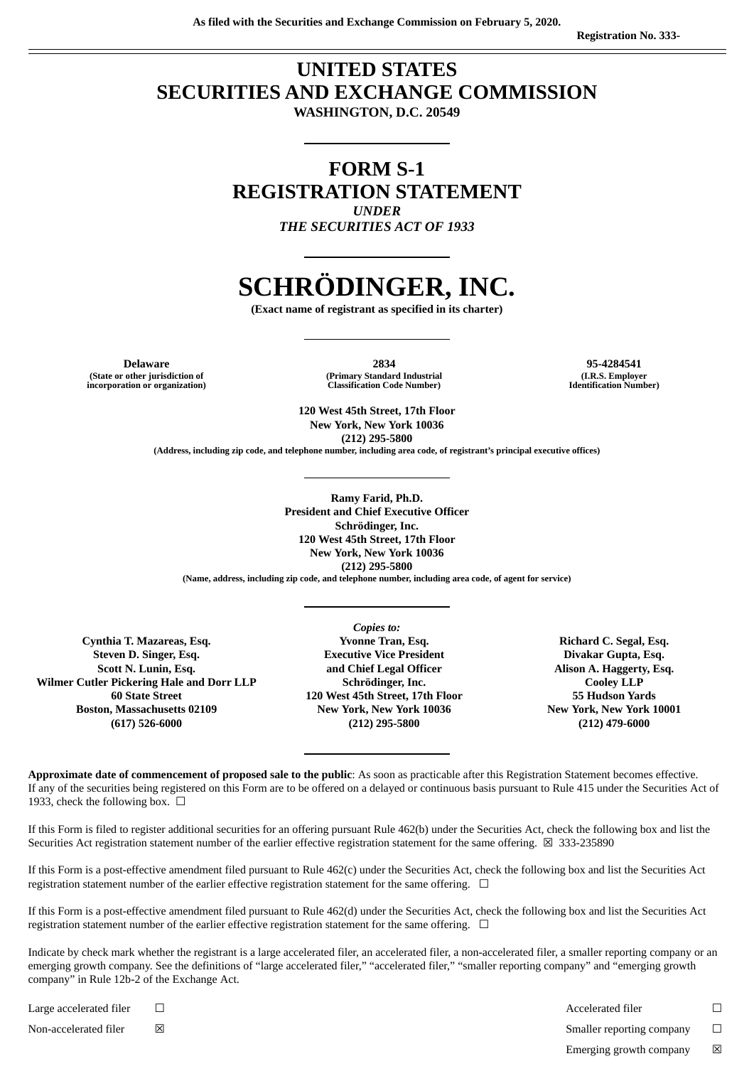# **UNITED STATES SECURITIES AND EXCHANGE COMMISSION WASHINGTON, D.C. 20549**

**FORM S-1 REGISTRATION STATEMENT** *UNDER*

*THE SECURITIES ACT OF 1933*

# **SCHRÖDINGER, INC.**

**(Exact name of registrant as specified in its charter)**

**(State or other jurisdiction of incorporation or organization)**

**Delaware 2834 95-4284541 (Primary Standard Industrial Classification Code Number)**

**(I.R.S. Employer Identification Number)**

**120 West 45th Street, 17th Floor New York, New York 10036 (212) 295-5800**

**(Address, including zip code, and telephone number, including area code, of registrant's principal executive offices)**

**Ramy Farid, Ph.D. President and Chief Executive Officer Schrödinger, Inc. 120 West 45th Street, 17th Floor New York, New York 10036 (212) 295-5800**

**(Name, address, including zip code, and telephone number, including area code, of agent for service)**

**Cynthia T. Mazareas, Esq. Steven D. Singer, Esq. Scott N. Lunin, Esq. Wilmer Cutler Pickering Hale and Dorr LLP 60 State Street Boston, Massachusetts 02109 (617) 526-6000**

*Copies to:* **Yvonne Tran, Esq. Executive Vice President and Chief Legal Officer Schrödinger, Inc. 120 West 45th Street, 17th Floor New York, New York 10036 (212) 295-5800**

**Richard C. Segal, Esq. Divakar Gupta, Esq. Alison A. Haggerty, Esq. Cooley LLP 55 Hudson Yards New York, New York 10001 (212) 479-6000**

**Approximate date of commencement of proposed sale to the public**: As soon as practicable after this Registration Statement becomes effective. If any of the securities being registered on this Form are to be offered on a delayed or continuous basis pursuant to Rule 415 under the Securities Act of 1933, check the following box.  $\Box$ 

If this Form is filed to register additional securities for an offering pursuant Rule 462(b) under the Securities Act, check the following box and list the Securities Act registration statement number of the earlier effective registration statement for the same offering.  $\boxtimes$  333-235890

If this Form is a post-effective amendment filed pursuant to Rule 462(c) under the Securities Act, check the following box and list the Securities Act registration statement number of the earlier effective registration statement for the same offering.  $\Box$ 

If this Form is a post-effective amendment filed pursuant to Rule 462(d) under the Securities Act, check the following box and list the Securities Act registration statement number of the earlier effective registration statement for the same offering.  $\Box$ 

Indicate by check mark whether the registrant is a large accelerated filer, an accelerated filer, a non-accelerated filer, a smaller reporting company or an emerging growth company. See the definitions of "large accelerated filer," "accelerated filer," "smaller reporting company" and "emerging growth company" in Rule 12b-2 of the Exchange Act.

Non-accelerated filer  $□$  ⊠ smaller reporting company  $□$ 

Large accelerated filer ☐ Accelerated filer ☐

Emerging growth company  $\boxtimes$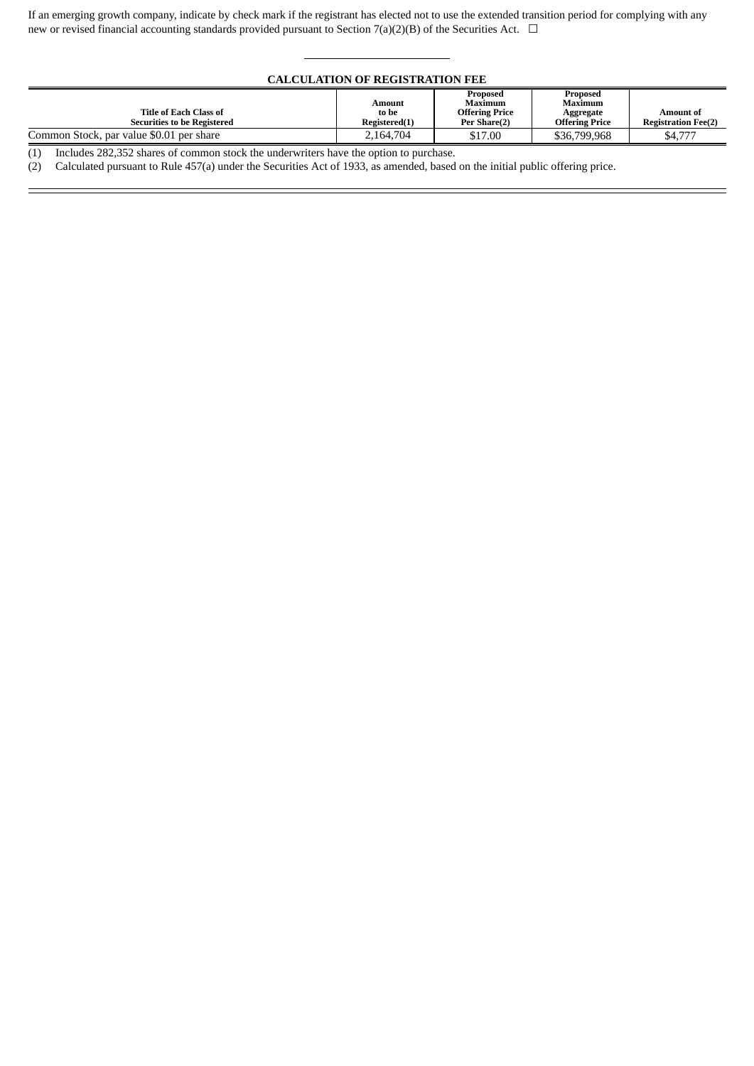If an emerging growth company, indicate by check mark if the registrant has elected not to use the extended transition period for complying with any new or revised financial accounting standards provided pursuant to Section 7(a)(2)(B) of the Securities Act.  $\Box$ 

#### **CALCULATION OF REGISTRATION FEE**

| Title of Each Class of<br><b>Securities to be Registered</b> | Amount<br>to be<br>Registered(1) | Proposed<br>Maximum<br><b>Offering Price</b><br>Per Share(2) | Proposed<br>Maximum<br>Aggregate<br><b>Offering Price</b> | Amount of<br><b>Registration Fee(2)</b> |
|--------------------------------------------------------------|----------------------------------|--------------------------------------------------------------|-----------------------------------------------------------|-----------------------------------------|
| Common Stock, par value \$0.01 per share                     | 2.164.704                        | \$17.00                                                      | \$36,799,968                                              | \$4.777                                 |

(1) Includes 282,352 shares of common stock the underwriters have the option to purchase.

(2) Calculated pursuant to Rule 457(a) under the Securities Act of 1933, as amended, based on the initial public offering price.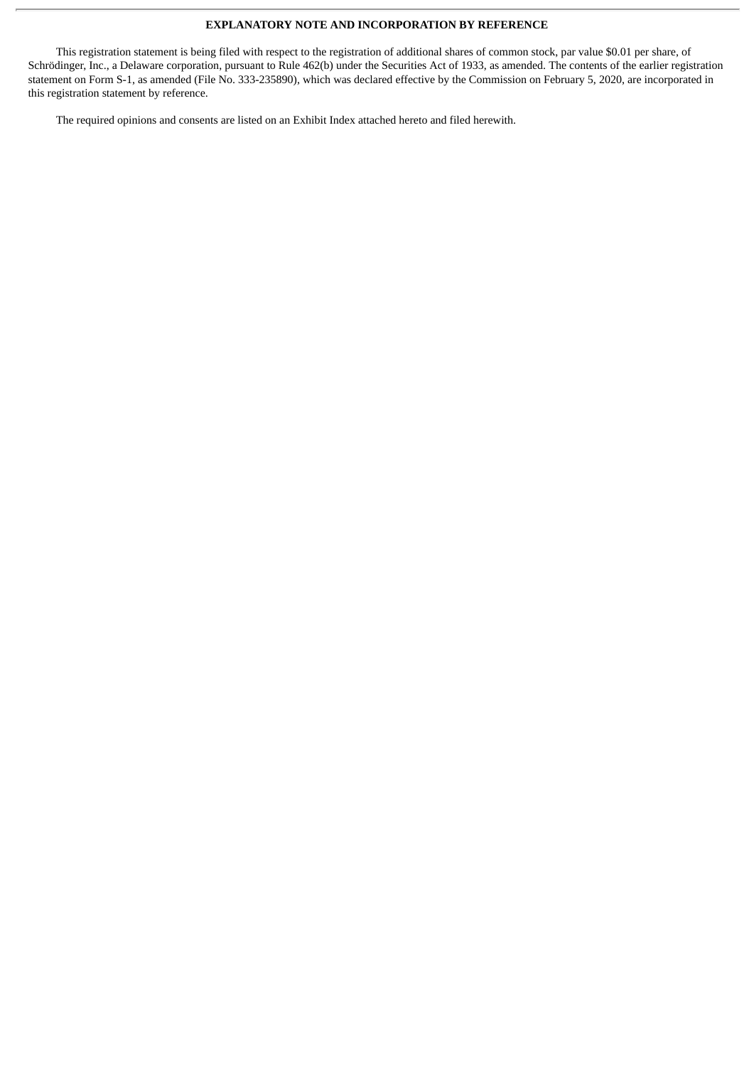#### **EXPLANATORY NOTE AND INCORPORATION BY REFERENCE**

This registration statement is being filed with respect to the registration of additional shares of common stock, par value \$0.01 per share, of Schrödinger, Inc., a Delaware corporation, pursuant to Rule 462(b) under the Securities Act of 1933, as amended. The contents of the earlier registration statement on Form S-1, as amended (File No. 333-235890), which was declared effective by the Commission on February 5, 2020, are incorporated in this registration statement by reference.

The required opinions and consents are listed on an Exhibit Index attached hereto and filed herewith.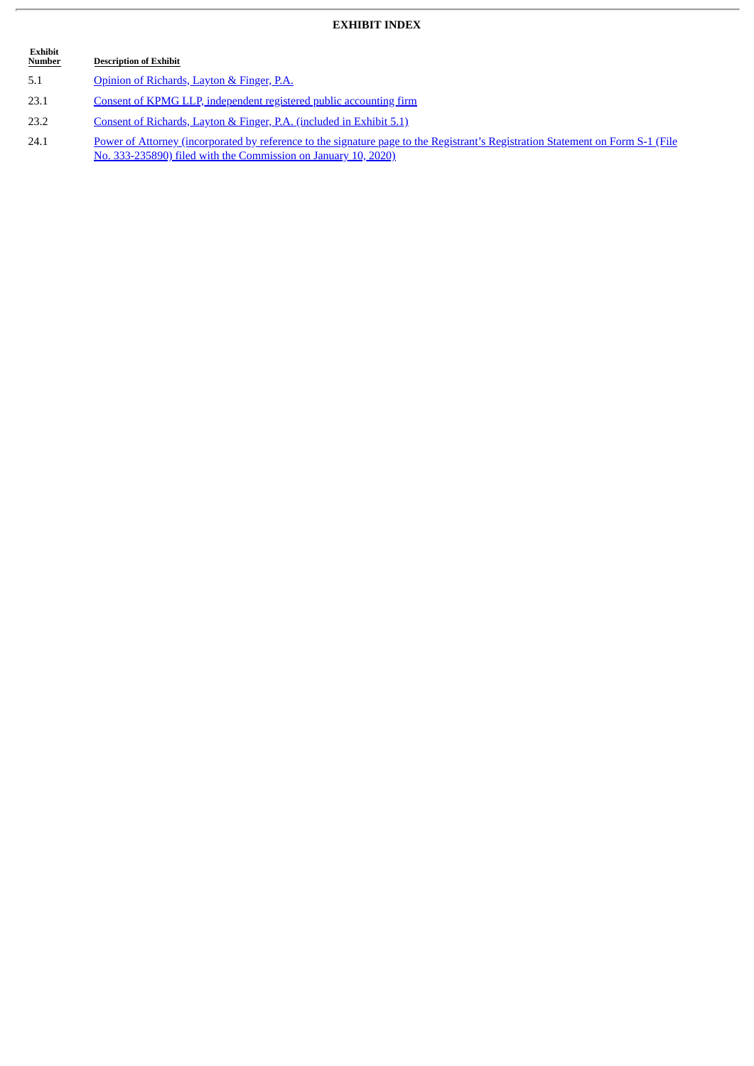## **EXHIBIT INDEX**

 $\overline{a}$ 

| Exhibit<br><b>Number</b> | <b>Description of Exhibit</b>                                                                                                                                                                      |
|--------------------------|----------------------------------------------------------------------------------------------------------------------------------------------------------------------------------------------------|
| 5.1                      | Opinion of Richards, Layton & Finger, P.A.                                                                                                                                                         |
| 23.1                     | Consent of KPMG LLP, independent registered public accounting firm                                                                                                                                 |
| 23.2                     | Consent of Richards, Layton & Finger, P.A. (included in Exhibit 5.1)                                                                                                                               |
| 24.1                     | Power of Attorney (incorporated by reference to the signature page to the Registrant's Registration Statement on Form S-1 (File<br>No. 333-235890) filed with the Commission on January 10, 2020). |

ł.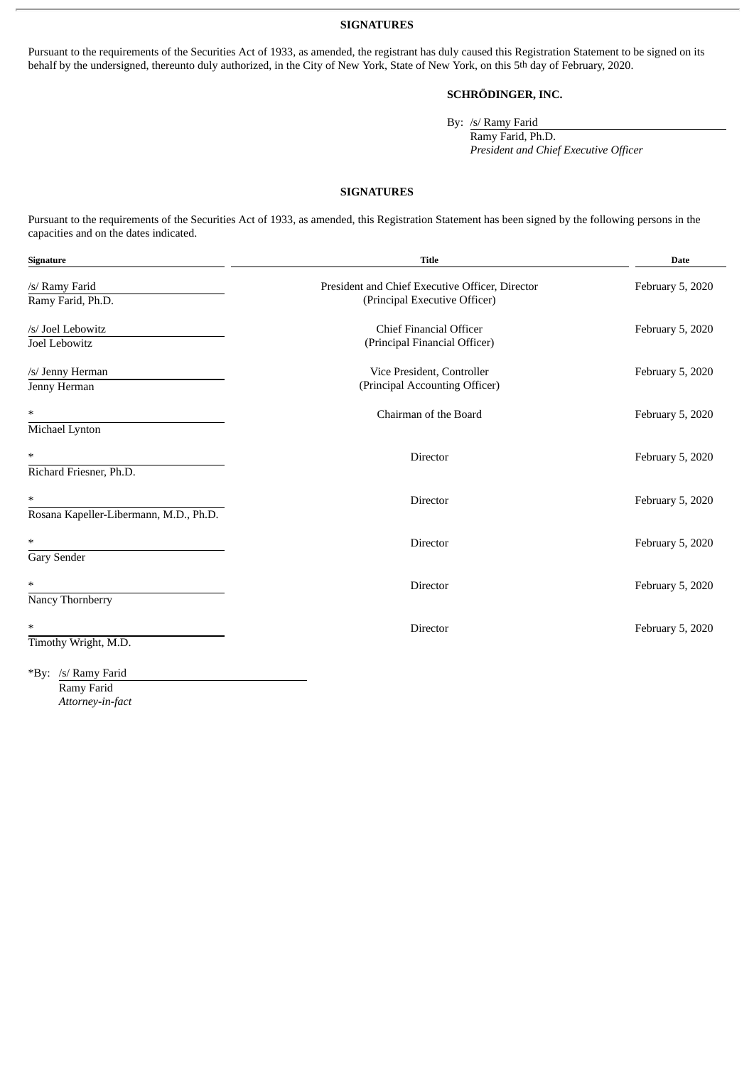**SIGNATURES**

Pursuant to the requirements of the Securities Act of 1933, as amended, the registrant has duly caused this Registration Statement to be signed on its behalf by the undersigned, thereunto duly authorized, in the City of New York, State of New York, on this 5th day of February, 2020.

### **SCHRÖDINGER, INC.**

By: /s/ Ramy Farid

Ramy Farid, Ph.D. *President and Chief Executive Officer*

#### **SIGNATURES**

Pursuant to the requirements of the Securities Act of 1933, as amended, this Registration Statement has been signed by the following persons in the capacities and on the dates indicated.

| Signature                              | <b>Title</b>                                                 | <b>Date</b>      |
|----------------------------------------|--------------------------------------------------------------|------------------|
| /s/ Ramy Farid                         | President and Chief Executive Officer, Director              | February 5, 2020 |
| Ramy Farid, Ph.D.                      | (Principal Executive Officer)                                |                  |
| /s/ Joel Lebowitz                      | <b>Chief Financial Officer</b>                               | February 5, 2020 |
| Joel Lebowitz                          | (Principal Financial Officer)                                |                  |
| /s/ Jenny Herman<br>Jenny Herman       | Vice President, Controller<br>(Principal Accounting Officer) | February 5, 2020 |
|                                        |                                                              |                  |
| $\ast$                                 | Chairman of the Board                                        | February 5, 2020 |
| Michael Lynton                         |                                                              |                  |
| $\ast$                                 | Director                                                     | February 5, 2020 |
| Richard Friesner, Ph.D.                |                                                              |                  |
| $\ast$                                 | Director                                                     | February 5, 2020 |
| Rosana Kapeller-Libermann, M.D., Ph.D. |                                                              |                  |
| $\ast$                                 | <b>Director</b>                                              | February 5, 2020 |
| Gary Sender                            |                                                              |                  |
| *                                      | <b>Director</b>                                              | February 5, 2020 |
| Nancy Thornberry                       |                                                              |                  |
| ∗                                      | Director                                                     | February 5, 2020 |
| Timothy Wright, M.D.                   |                                                              |                  |
| *By: /s/ Ramy Farid                    |                                                              |                  |

Ramy Farid *Attorney-in-fact*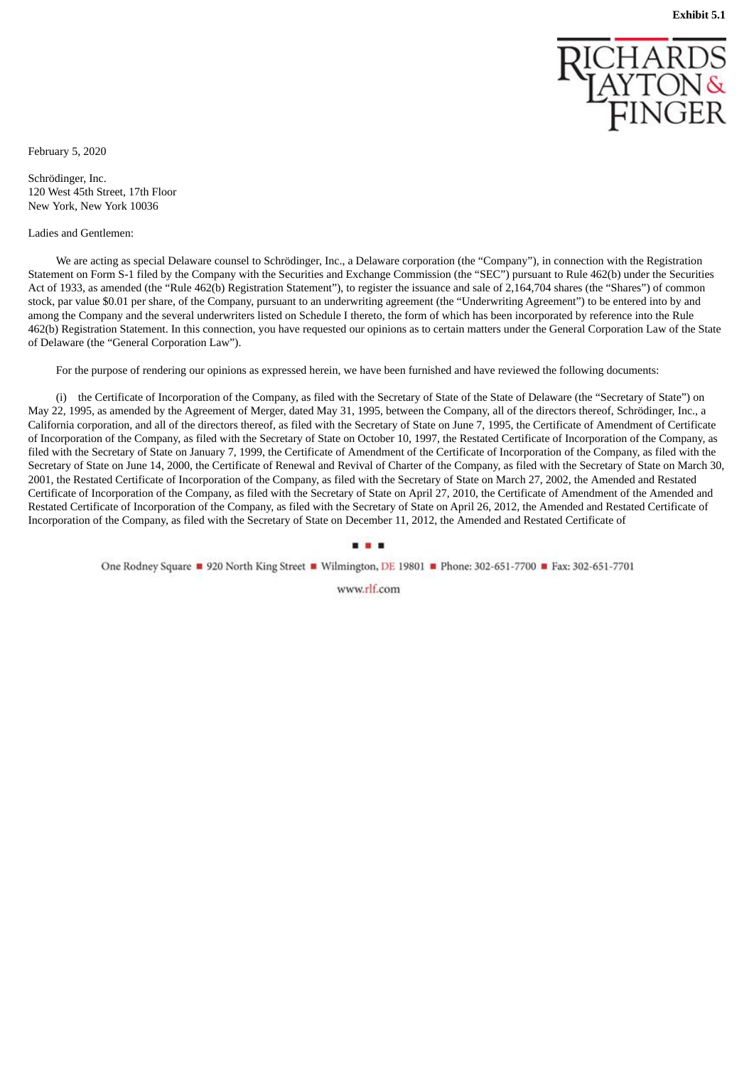

<span id="page-5-0"></span>February 5, 2020

Schrödinger, Inc. 120 West 45th Street, 17th Floor New York, New York 10036

#### Ladies and Gentlemen:

We are acting as special Delaware counsel to Schrödinger, Inc., a Delaware corporation (the "Company"), in connection with the Registration Statement on Form S-1 filed by the Company with the Securities and Exchange Commission (the "SEC") pursuant to Rule 462(b) under the Securities Act of 1933, as amended (the "Rule 462(b) Registration Statement"), to register the issuance and sale of 2,164,704 shares (the "Shares") of common stock, par value \$0.01 per share, of the Company, pursuant to an underwriting agreement (the "Underwriting Agreement") to be entered into by and among the Company and the several underwriters listed on Schedule I thereto, the form of which has been incorporated by reference into the Rule 462(b) Registration Statement. In this connection, you have requested our opinions as to certain matters under the General Corporation Law of the State of Delaware (the "General Corporation Law").

For the purpose of rendering our opinions as expressed herein, we have been furnished and have reviewed the following documents:

(i) the Certificate of Incorporation of the Company, as filed with the Secretary of State of the State of Delaware (the "Secretary of State") on May 22, 1995, as amended by the Agreement of Merger, dated May 31, 1995, between the Company, all of the directors thereof, Schrödinger, Inc., a California corporation, and all of the directors thereof, as filed with the Secretary of State on June 7, 1995, the Certificate of Amendment of Certificate of Incorporation of the Company, as filed with the Secretary of State on October 10, 1997, the Restated Certificate of Incorporation of the Company, as filed with the Secretary of State on January 7, 1999, the Certificate of Amendment of the Certificate of Incorporation of the Company, as filed with the Secretary of State on June 14, 2000, the Certificate of Renewal and Revival of Charter of the Company, as filed with the Secretary of State on March 30, 2001, the Restated Certificate of Incorporation of the Company, as filed with the Secretary of State on March 27, 2002, the Amended and Restated Certificate of Incorporation of the Company, as filed with the Secretary of State on April 27, 2010, the Certificate of Amendment of the Amended and Restated Certificate of Incorporation of the Company, as filed with the Secretary of State on April 26, 2012, the Amended and Restated Certificate of Incorporation of the Company, as filed with the Secretary of State on December 11, 2012, the Amended and Restated Certificate of

#### ...

One Rodney Square 1920 North King Street 1 Wilmington, DE 19801 Phone: 302-651-7700 E Fax: 302-651-7701

www.rlf.com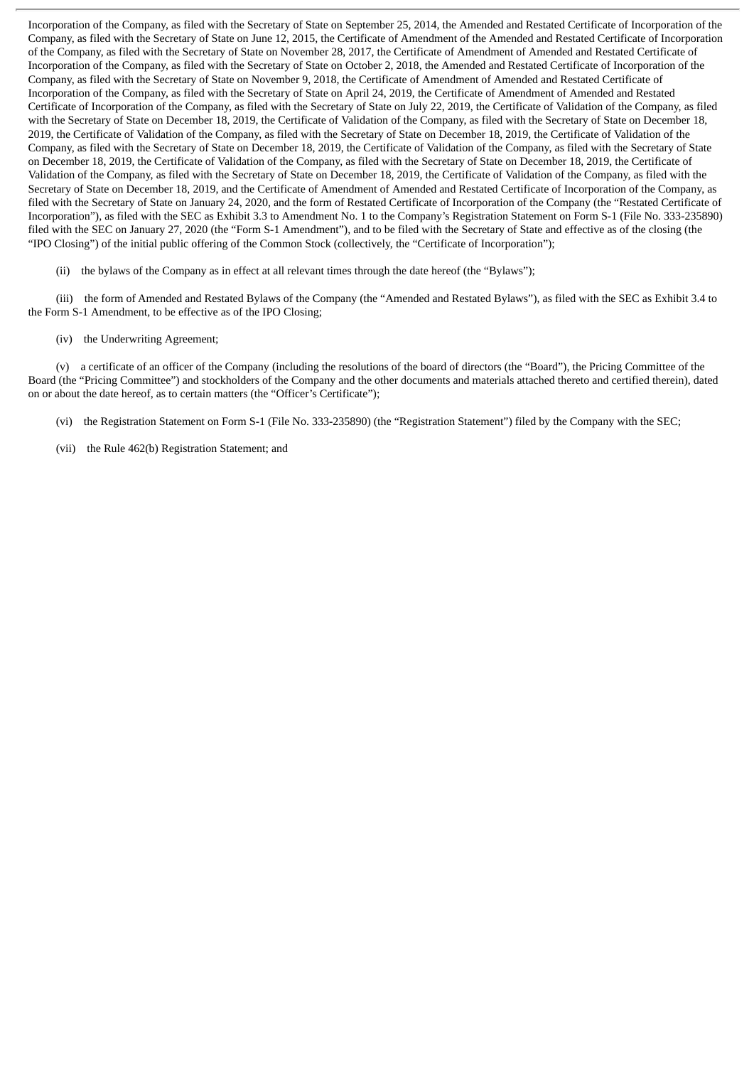Incorporation of the Company, as filed with the Secretary of State on September 25, 2014, the Amended and Restated Certificate of Incorporation of the Company, as filed with the Secretary of State on June 12, 2015, the Certificate of Amendment of the Amended and Restated Certificate of Incorporation of the Company, as filed with the Secretary of State on November 28, 2017, the Certificate of Amendment of Amended and Restated Certificate of Incorporation of the Company, as filed with the Secretary of State on October 2, 2018, the Amended and Restated Certificate of Incorporation of the Company, as filed with the Secretary of State on November 9, 2018, the Certificate of Amendment of Amended and Restated Certificate of Incorporation of the Company, as filed with the Secretary of State on April 24, 2019, the Certificate of Amendment of Amended and Restated Certificate of Incorporation of the Company, as filed with the Secretary of State on July 22, 2019, the Certificate of Validation of the Company, as filed with the Secretary of State on December 18, 2019, the Certificate of Validation of the Company, as filed with the Secretary of State on December 18, 2019, the Certificate of Validation of the Company, as filed with the Secretary of State on December 18, 2019, the Certificate of Validation of the Company, as filed with the Secretary of State on December 18, 2019, the Certificate of Validation of the Company, as filed with the Secretary of State on December 18, 2019, the Certificate of Validation of the Company, as filed with the Secretary of State on December 18, 2019, the Certificate of Validation of the Company, as filed with the Secretary of State on December 18, 2019, the Certificate of Validation of the Company, as filed with the Secretary of State on December 18, 2019, and the Certificate of Amendment of Amended and Restated Certificate of Incorporation of the Company, as filed with the Secretary of State on January 24, 2020, and the form of Restated Certificate of Incorporation of the Company (the "Restated Certificate of Incorporation"), as filed with the SEC as Exhibit 3.3 to Amendment No. 1 to the Company's Registration Statement on Form S-1 (File No. 333-235890) filed with the SEC on January 27, 2020 (the "Form S-1 Amendment"), and to be filed with the Secretary of State and effective as of the closing (the "IPO Closing") of the initial public offering of the Common Stock (collectively, the "Certificate of Incorporation");

(ii) the bylaws of the Company as in effect at all relevant times through the date hereof (the "Bylaws");

(iii) the form of Amended and Restated Bylaws of the Company (the "Amended and Restated Bylaws"), as filed with the SEC as Exhibit 3.4 to the Form S-1 Amendment, to be effective as of the IPO Closing;

(iv) the Underwriting Agreement;

(v) a certificate of an officer of the Company (including the resolutions of the board of directors (the "Board"), the Pricing Committee of the Board (the "Pricing Committee") and stockholders of the Company and the other documents and materials attached thereto and certified therein), dated on or about the date hereof, as to certain matters (the "Officer's Certificate");

- (vi) the Registration Statement on Form S-1 (File No. 333-235890) (the "Registration Statement") filed by the Company with the SEC;
- (vii) the Rule 462(b) Registration Statement; and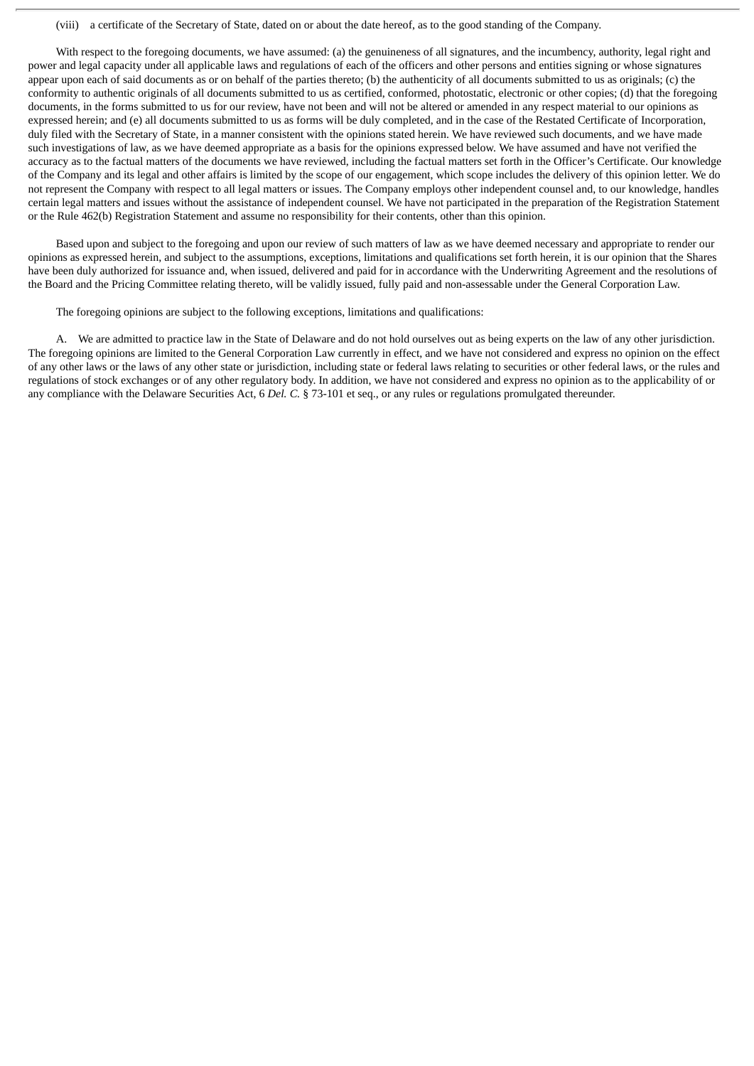#### (viii) a certificate of the Secretary of State, dated on or about the date hereof, as to the good standing of the Company.

With respect to the foregoing documents, we have assumed: (a) the genuineness of all signatures, and the incumbency, authority, legal right and power and legal capacity under all applicable laws and regulations of each of the officers and other persons and entities signing or whose signatures appear upon each of said documents as or on behalf of the parties thereto; (b) the authenticity of all documents submitted to us as originals; (c) the conformity to authentic originals of all documents submitted to us as certified, conformed, photostatic, electronic or other copies; (d) that the foregoing documents, in the forms submitted to us for our review, have not been and will not be altered or amended in any respect material to our opinions as expressed herein; and (e) all documents submitted to us as forms will be duly completed, and in the case of the Restated Certificate of Incorporation, duly filed with the Secretary of State, in a manner consistent with the opinions stated herein. We have reviewed such documents, and we have made such investigations of law, as we have deemed appropriate as a basis for the opinions expressed below. We have assumed and have not verified the accuracy as to the factual matters of the documents we have reviewed, including the factual matters set forth in the Officer's Certificate. Our knowledge of the Company and its legal and other affairs is limited by the scope of our engagement, which scope includes the delivery of this opinion letter. We do not represent the Company with respect to all legal matters or issues. The Company employs other independent counsel and, to our knowledge, handles certain legal matters and issues without the assistance of independent counsel. We have not participated in the preparation of the Registration Statement or the Rule 462(b) Registration Statement and assume no responsibility for their contents, other than this opinion.

Based upon and subject to the foregoing and upon our review of such matters of law as we have deemed necessary and appropriate to render our opinions as expressed herein, and subject to the assumptions, exceptions, limitations and qualifications set forth herein, it is our opinion that the Shares have been duly authorized for issuance and, when issued, delivered and paid for in accordance with the Underwriting Agreement and the resolutions of the Board and the Pricing Committee relating thereto, will be validly issued, fully paid and non-assessable under the General Corporation Law.

The foregoing opinions are subject to the following exceptions, limitations and qualifications:

A. We are admitted to practice law in the State of Delaware and do not hold ourselves out as being experts on the law of any other jurisdiction. The foregoing opinions are limited to the General Corporation Law currently in effect, and we have not considered and express no opinion on the effect of any other laws or the laws of any other state or jurisdiction, including state or federal laws relating to securities or other federal laws, or the rules and regulations of stock exchanges or of any other regulatory body. In addition, we have not considered and express no opinion as to the applicability of or any compliance with the Delaware Securities Act, 6 *Del. C.* § 73-101 et seq., or any rules or regulations promulgated thereunder.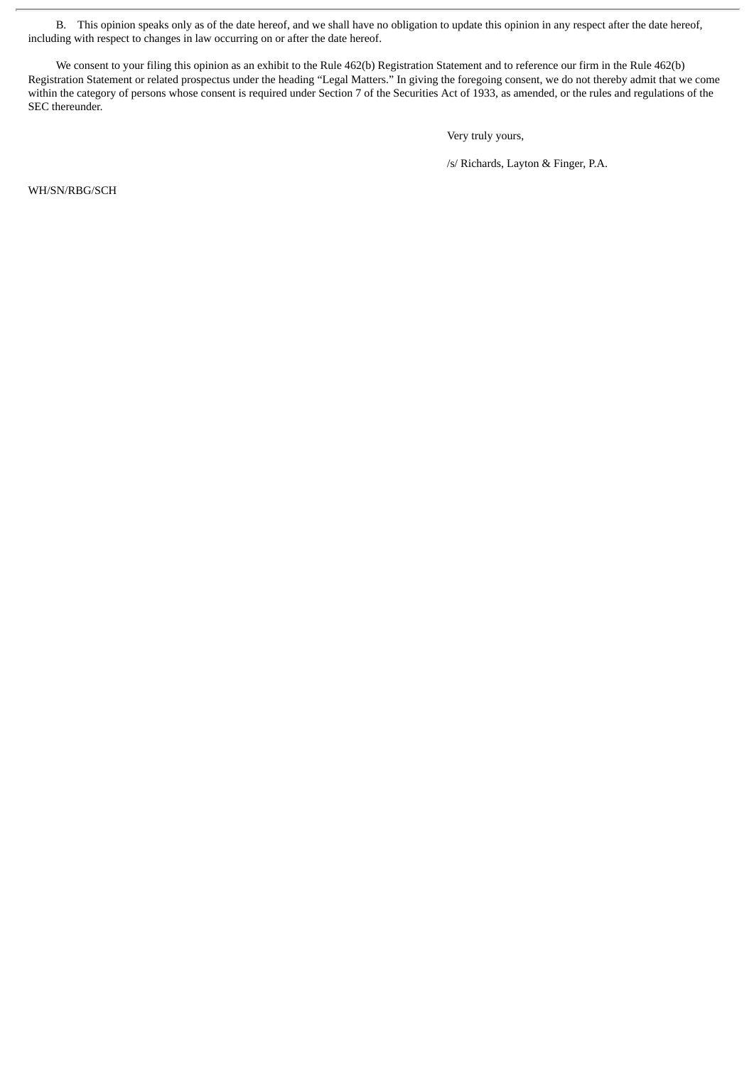B. This opinion speaks only as of the date hereof, and we shall have no obligation to update this opinion in any respect after the date hereof, including with respect to changes in law occurring on or after the date hereof.

We consent to your filing this opinion as an exhibit to the Rule 462(b) Registration Statement and to reference our firm in the Rule 462(b) Registration Statement or related prospectus under the heading "Legal Matters." In giving the foregoing consent, we do not thereby admit that we come within the category of persons whose consent is required under Section 7 of the Securities Act of 1933, as amended, or the rules and regulations of the SEC thereunder.

Very truly yours,

/s/ Richards, Layton & Finger, P.A.

WH/SN/RBG/SCH